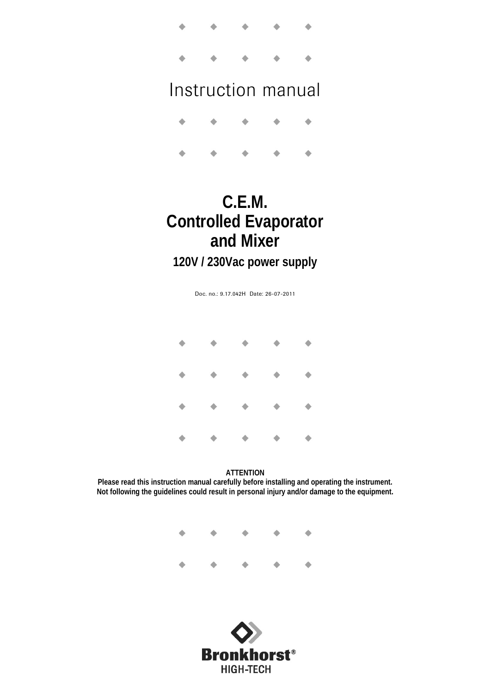۸ ٠ Instruction manual  $\ddot{\bullet}$ ۰ ۰ ۸ ٠ ۵ ۵ ۰

## **C.E.M. Controlled Evaporator and Mixer 120V / 230Vac power supply**

Doc. no.: 9.17.042H Date: 26-07-2011

| $\begin{array}{cccccccccccccc} \bullet & \bullet & \bullet & \bullet & \bullet & \bullet & \bullet & \bullet \end{array}$ |  |  |
|---------------------------------------------------------------------------------------------------------------------------|--|--|
| $\begin{array}{cccccccccccccc} \bullet & \bullet & \bullet & \bullet & \bullet & \bullet & \bullet & \bullet \end{array}$ |  |  |
| $\begin{array}{cccccccccccccc} \bullet & \bullet & \bullet & \bullet & \bullet & \bullet & \bullet & \bullet \end{array}$ |  |  |
| $\begin{array}{cccccccccccccc} \bullet & \bullet & \bullet & \bullet & \bullet & \bullet & \bullet & \bullet \end{array}$ |  |  |

**ATTENTION Please read this instruction manual carefully before installing and operating the instrument. Not following the guidelines could result in personal injury and/or damage to the equipment.**



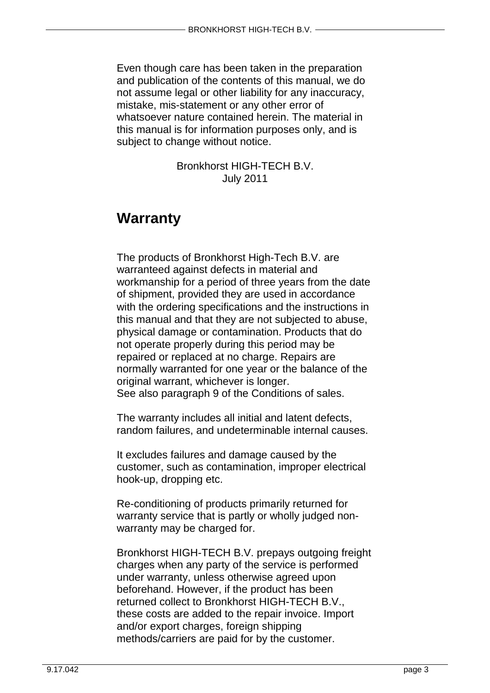Even though care has been taken in the preparation and publication of the contents of this manual, we do not assume legal or other liability for any inaccuracy, mistake, mis-statement or any other error of whatsoever nature contained herein. The material in this manual is for information purposes only, and is subject to change without notice.

> Bronkhorst HIGH-TECH B.V. July 2011

## **Warranty**

The products of Bronkhorst High-Tech B.V. are warranteed against defects in material and workmanship for a period of three years from the date of shipment, provided they are used in accordance with the ordering specifications and the instructions in this manual and that they are not subjected to abuse, physical damage or contamination. Products that do not operate properly during this period may be repaired or replaced at no charge. Repairs are normally warranted for one year or the balance of the original warrant, whichever is longer. See also paragraph 9 of the Conditions of sales.

The warranty includes all initial and latent defects, random failures, and undeterminable internal causes.

It excludes failures and damage caused by the customer, such as contamination, improper electrical hook-up, dropping etc.

Re-conditioning of products primarily returned for warranty service that is partly or wholly judged nonwarranty may be charged for.

Bronkhorst HIGH-TECH B.V. prepays outgoing freight charges when any party of the service is performed under warranty, unless otherwise agreed upon beforehand. However, if the product has been returned collect to Bronkhorst HIGH-TECH B.V., these costs are added to the repair invoice. Import and/or export charges, foreign shipping methods/carriers are paid for by the customer.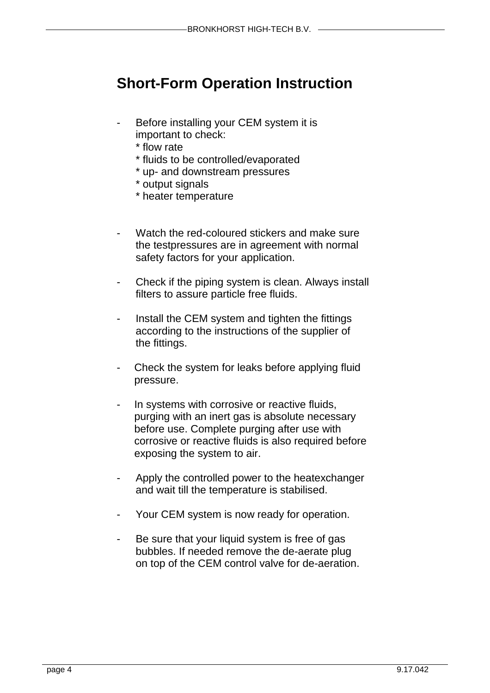## **Short-Form Operation Instruction**

- Before installing your CEM system it is important to check:
	- \* flow rate
	- \* fluids to be controlled/evaporated
	- \* up- and downstream pressures
	- \* output signals
	- \* heater temperature
- Watch the red-coloured stickers and make sure the testpressures are in agreement with normal safety factors for your application.
- Check if the piping system is clean. Always install filters to assure particle free fluids.
- Install the CEM system and tighten the fittings according to the instructions of the supplier of the fittings.
- Check the system for leaks before applying fluid pressure.
- In systems with corrosive or reactive fluids, purging with an inert gas is absolute necessary before use. Complete purging after use with corrosive or reactive fluids is also required before exposing the system to air.
- Apply the controlled power to the heatexchanger and wait till the temperature is stabilised.
- Your CEM system is now ready for operation.
- Be sure that your liquid system is free of gas bubbles. If needed remove the de-aerate plug on top of the CEM control valve for de-aeration.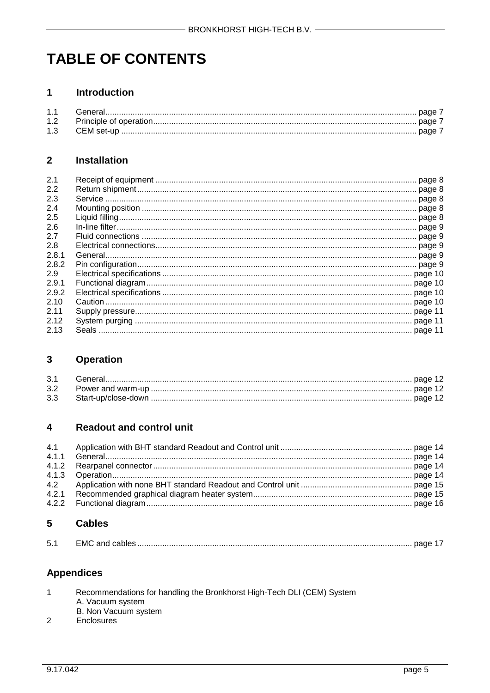## **TABLE OF CONTENTS**

#### $\mathbf 1$ **Introduction**

| 1.1 |  |
|-----|--|
|     |  |
|     |  |

#### $\overline{2}$ **Installation**

| 2.1   |  |
|-------|--|
| 2.2   |  |
| 2.3   |  |
| 2.4   |  |
| 2.5   |  |
| 2.6   |  |
| 2.7   |  |
| 2.8   |  |
| 281   |  |
| 2.8.2 |  |
| 2.9   |  |
| 2.9.1 |  |
| 2.9.2 |  |
| 2.10  |  |
| 211   |  |
| 2.12  |  |
| 2.13  |  |

#### $\overline{3}$ Operation

#### $\overline{\mathbf{4}}$ **Readout and control unit**

#### $5<sup>5</sup>$ **Cables**

| <b>59</b><br>J.I | :MC |  |  |
|------------------|-----|--|--|
|------------------|-----|--|--|

## **Appendices**

|   | Recommendations for handling the Bronkhorst High-Tech DLI (CEM) System |
|---|------------------------------------------------------------------------|
|   | A. Vacuum system                                                       |
|   | B. Non Vacuum system                                                   |
| 2 | Enclosures                                                             |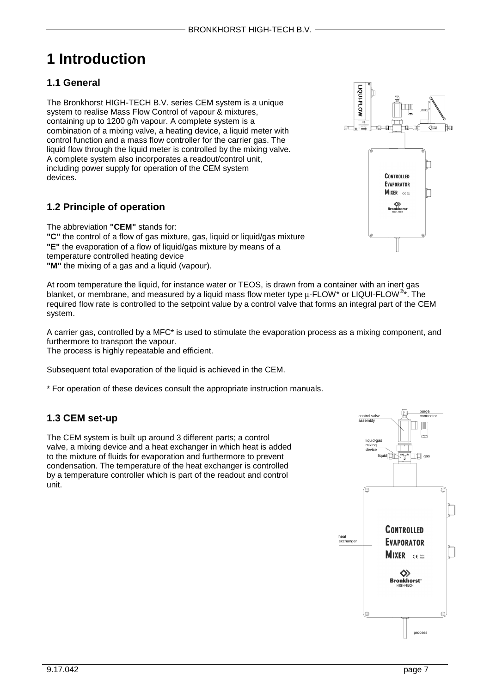## **1 Introduction**

## **1.1 General**

The Bronkhorst HIGH-TECH B.V. series CEM system is a unique system to realise Mass Flow Control of vapour & mixtures, containing up to 1200 g/h vapour. A complete system is a combination of a mixing valve, a heating device, a liquid meter with control function and a mass flow controller for the carrier gas. The liquid flow through the liquid meter is controlled by the mixing valve. A complete system also incorporates a readout/control unit, including power supply for operation of the CEM system devices.

## **1.2 Principle of operation**

The abbreviation **"CEM"** stands for: **"C"** the control of a flow of gas mixture, gas, liquid or liquid/gas mixture **"E"** the evaporation of a flow of liquid/gas mixture by means of a temperature controlled heating device **"M"** the mixing of a gas and a liquid (vapour).

At room temperature the liquid, for instance water or TEOS, is drawn from a container with an inert gas blanket, or membrane, and measured by a liquid mass flow meter type  $\mu$ -FLOW\* or LIQUI-FLOW®\*. The required flow rate is controlled to the setpoint value by a control valve that forms an integral part of the CEM system.

A carrier gas, controlled by a MFC\* is used to stimulate the evaporation process as a mixing component, and furthermore to transport the vapour.

The process is highly repeatable and efficient.

Subsequent total evaporation of the liquid is achieved in the CEM.

\* For operation of these devices consult the appropriate instruction manuals.

## **1.3 CEM set-up**

The CEM system is built up around 3 different parts; a control valve, a mixing device and a heat exchanger in which heat is added to the mixture of fluids for evaporation and furthermore to prevent condensation. The temperature of the heat exchanger is controlled by a temperature controller which is part of the readout and control unit.



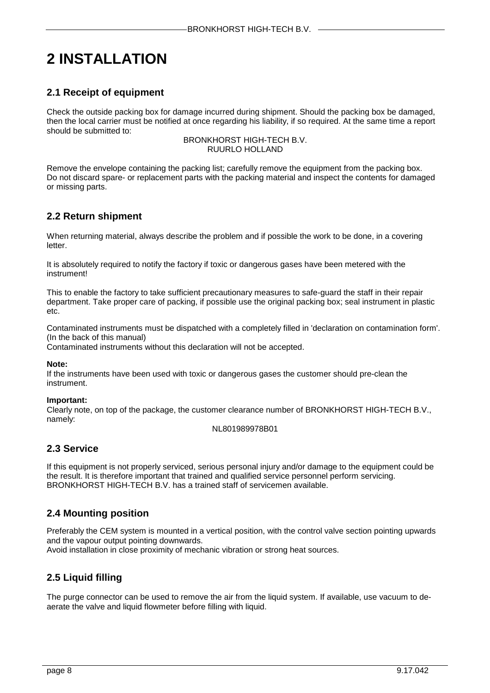## **2 INSTALLATION**

## **2.1 Receipt of equipment**

Check the outside packing box for damage incurred during shipment. Should the packing box be damaged, then the local carrier must be notified at once regarding his liability, if so required. At the same time a report should be submitted to:

> BRONKHORST HIGH-TECH B.V. RUURLO HOLLAND

Remove the envelope containing the packing list; carefully remove the equipment from the packing box. Do not discard spare- or replacement parts with the packing material and inspect the contents for damaged or missing parts.

## **2.2 Return shipment**

When returning material, always describe the problem and if possible the work to be done, in a covering letter.

It is absolutely required to notify the factory if toxic or dangerous gases have been metered with the instrument!

This to enable the factory to take sufficient precautionary measures to safe-guard the staff in their repair department. Take proper care of packing, if possible use the original packing box; seal instrument in plastic etc.

Contaminated instruments must be dispatched with a completely filled in 'declaration on contamination form'. (In the back of this manual)

Contaminated instruments without this declaration will not be accepted.

### **Note:**

If the instruments have been used with toxic or dangerous gases the customer should pre-clean the instrument.

### **Important:**

Clearly note, on top of the package, the customer clearance number of BRONKHORST HIGH-TECH B.V., namely:

NL801989978B01

## **2.3 Service**

If this equipment is not properly serviced, serious personal injury and/or damage to the equipment could be the result. It is therefore important that trained and qualified service personnel perform servicing. BRONKHORST HIGH-TECH B.V. has a trained staff of servicemen available.

## **2.4 Mounting position**

Preferably the CEM system is mounted in a vertical position, with the control valve section pointing upwards and the vapour output pointing downwards.

Avoid installation in close proximity of mechanic vibration or strong heat sources.

## **2.5 Liquid filling**

The purge connector can be used to remove the air from the liquid system. If available, use vacuum to deaerate the valve and liquid flowmeter before filling with liquid.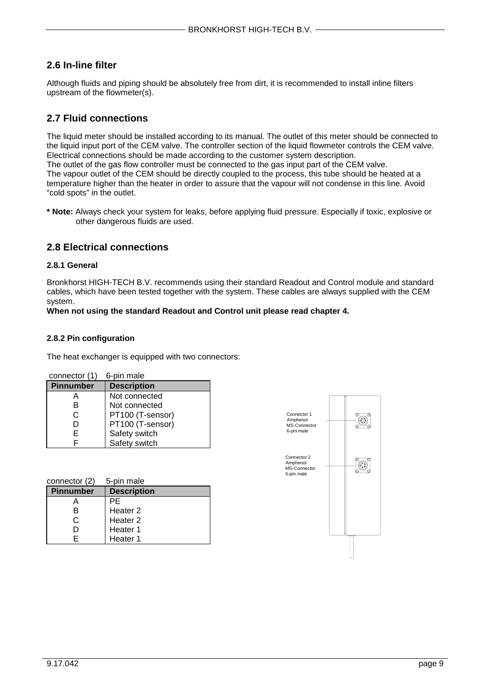## **2.6 In-line filter**

Although fluids and piping should be absolutely free from dirt, it is recommended to install inline filters upstream of the flowmeter(s).

## **2.7 Fluid connections**

The liquid meter should be installed according to its manual. The outlet of this meter should be connected to the liquid input port of the CEM valve. The controller section of the liquid flowmeter controls the CEM valve. Electrical connections should be made according to the customer system description. The outlet of the gas flow controller must be connected to the gas input part of the CEM valve. The vapour outlet of the CEM should be directly coupled to the process, this tube should be heated at a temperature higher than the heater in order to assure that the vapour will not condense in this line. Avoid "cold spots" in the outlet.

**\* Note:** Always check your system for leaks, before applying fluid pressure. Especially if toxic, explosive or other dangerous fluids are used.

## **2.8 Electrical connections**

### **2.8.1 General**

Bronkhorst HIGH-TECH B.V. recommends using their standard Readout and Control module and standard cables, which have been tested together with the system. These cables are always supplied with the CEM system.

**When not using the standard Readout and Control unit please read chapter 4.**

### **2.8.2 Pin configuration**

The heat exchanger is equipped with two connectors:

| connector (1)    | 6-pin male         |
|------------------|--------------------|
| <b>Pinnumber</b> | <b>Description</b> |
| A                | Not connected      |
| в                | Not connected      |
| C                | PT100 (T-sensor)   |
| D                | PT100 (T-sensor)   |
| E.               | Safety switch      |
| F                | Safety switch      |

| connector (2)    | 5-pin male          |
|------------------|---------------------|
| <b>Pinnumber</b> | <b>Description</b>  |
|                  | PF.                 |
| в                | Heater <sub>2</sub> |
| C                | Heater <sub>2</sub> |
| ו ו              | Heater 1            |
| F                | Heater 1            |

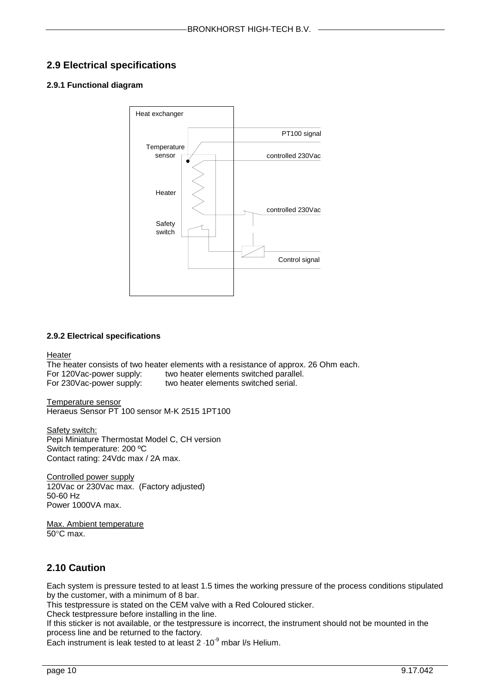## **2.9 Electrical specifications**

## **2.9.1 Functional diagram**



### **2.9.2 Electrical specifications**

Heater

The heater consists of two heater elements with a resistance of approx. 26 Ohm each.<br>For 120Vac-power supply: two heater elements switched parallel. For 120Vac-power supply: two heater elements switched parallel.<br>For 230Vac-power supply: two heater elements switched serial. two heater elements switched serial.

Temperature sensor Heraeus Sensor PT 100 sensor M-K 2515 1PT100

Safety switch: Pepi Miniature Thermostat Model C, CH version Switch temperature: 200 ºC Contact rating: 24Vdc max / 2A max.

Controlled power supply 120Vac or 230Vac max. (Factory adjusted) 50-60 Hz Power 1000VA max.

Max. Ambient temperature 50°C max.

## **2.10 Caution**

Each system is pressure tested to at least 1.5 times the working pressure of the process conditions stipulated by the customer, with a minimum of 8 bar.

This testpressure is stated on the CEM valve with a Red Coloured sticker.

Check testpressure before installing in the line.

If this sticker is not available, or the testpressure is incorrect, the instrument should not be mounted in the process line and be returned to the factory.

Each instrument is leak tested to at least  $2 \cdot 10^{-9}$  mbar l/s Helium.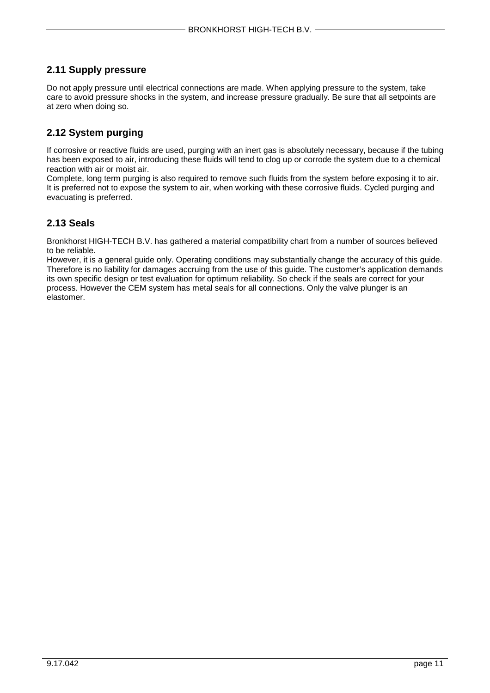## **2.11 Supply pressure**

Do not apply pressure until electrical connections are made. When applying pressure to the system, take care to avoid pressure shocks in the system, and increase pressure gradually. Be sure that all setpoints are at zero when doing so.

## **2.12 System purging**

If corrosive or reactive fluids are used, purging with an inert gas is absolutely necessary, because if the tubing has been exposed to air, introducing these fluids will tend to clog up or corrode the system due to a chemical reaction with air or moist air.

Complete, long term purging is also required to remove such fluids from the system before exposing it to air. It is preferred not to expose the system to air, when working with these corrosive fluids. Cycled purging and evacuating is preferred.

## **2.13 Seals**

Bronkhorst HIGH-TECH B.V. has gathered a material compatibility chart from a number of sources believed to be reliable.

However, it is a general guide only. Operating conditions may substantially change the accuracy of this guide. Therefore is no liability for damages accruing from the use of this guide. The customer's application demands its own specific design or test evaluation for optimum reliability. So check if the seals are correct for your process. However the CEM system has metal seals for all connections. Only the valve plunger is an elastomer.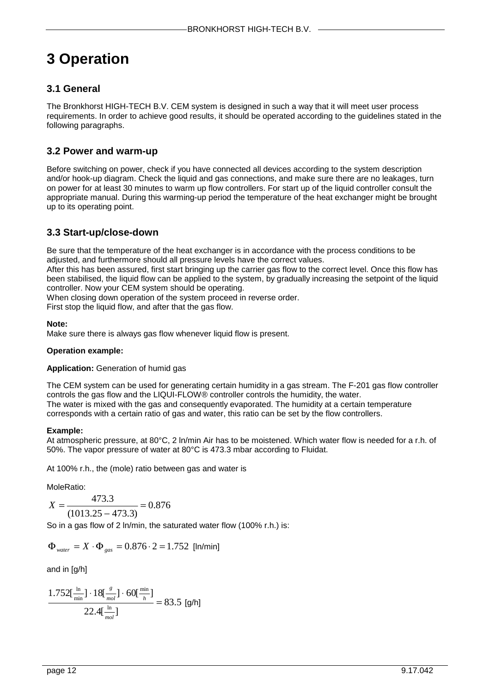## **3 Operation**

## **3.1 General**

The Bronkhorst HIGH-TECH B.V. CEM system is designed in such a way that it will meet user process requirements. In order to achieve good results, it should be operated according to the guidelines stated in the following paragraphs.

## **3.2 Power and warm-up**

Before switching on power, check if you have connected all devices according to the system description and/or hook-up diagram. Check the liquid and gas connections, and make sure there are no leakages, turn on power for at least 30 minutes to warm up flow controllers. For start up of the liquid controller consult the appropriate manual. During this warming-up period the temperature of the heat exchanger might be brought up to its operating point.

## **3.3 Start-up/close-down**

Be sure that the temperature of the heat exchanger is in accordance with the process conditions to be adjusted, and furthermore should all pressure levels have the correct values.

After this has been assured, first start bringing up the carrier gas flow to the correct level. Once this flow has been stabilised, the liquid flow can be applied to the system, by gradually increasing the setpoint of the liquid controller. Now your CEM system should be operating.

When closing down operation of the system proceed in reverse order.

First stop the liquid flow, and after that the gas flow.

### **Note:**

Make sure there is always gas flow whenever liquid flow is present.

### **Operation example:**

**Application:** Generation of humid gas

The CEM system can be used for generating certain humidity in a gas stream. The F-201 gas flow controller controls the gas flow and the LIQUI-FLOW® controller controls the humidity, the water. The water is mixed with the gas and consequently evaporated. The humidity at a certain temperature corresponds with a certain ratio of gas and water, this ratio can be set by the flow controllers.

## **Example:**

At atmospheric pressure, at 80°C, 2 ln/min Air has to be moistened. Which water flow is needed for a r.h. of 50%. The vapor pressure of water at 80°C is 473.3 mbar according to Fluidat.

At 100% r.h., the (mole) ratio between gas and water is

MoleRatio:

$$
X = \frac{473.3}{(1013.25 - 473.3)} = 0.876
$$

So in a gas flow of 2 ln/min, the saturated water flow (100% r.h.) is:

$$
\Phi_{\text{water}} = X \cdot \Phi_{\text{gas}} = 0.876 \cdot 2 = 1.752 \text{ [In/min]}
$$

and in [g/h]

$$
\frac{1.752[\frac{\ln}{\min}] \cdot 18[\frac{s}{mol}] \cdot 60[\frac{\min}{h}]}{22.4[\frac{\ln}{mol}]} = 83.5 \text{ [g/h]}
$$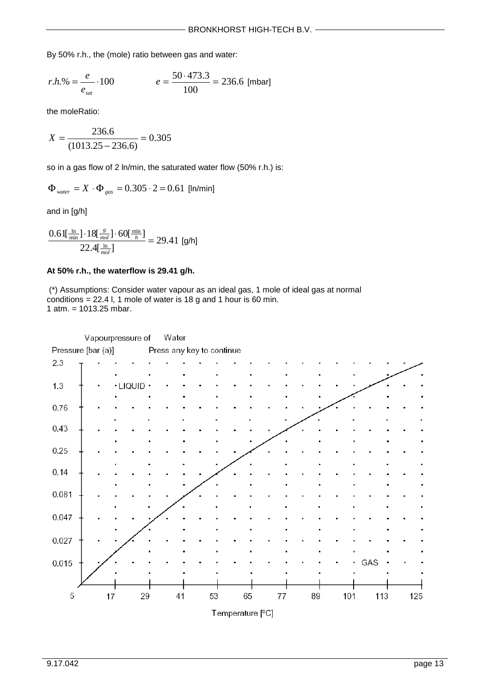By 50% r.h., the (mole) ratio between gas and water:

$$
r.h.\% = \frac{e}{e_{sat}} \cdot 100 \qquad \qquad e = \frac{50 \cdot 473.3}{100} = 236.6 \text{ [mbar]}
$$

the moleRatio:

$$
X = \frac{236.6}{(1013.25 - 236.6)} = 0.305
$$

so in a gas flow of 2 ln/min, the saturated water flow (50% r.h.) is:

$$
\Phi_{water} = X \cdot \Phi_{gas} = 0.305 \cdot 2 = 0.61
$$
 [In/min]

and in [g/h]

$$
\frac{0.61[\frac{\ln}{\min}] \cdot 18[\frac{s}{mol}]\cdot 60[\frac{\min}{h}]}{22.4[\frac{\ln}{mol}]} = 29.41 \text{ [g/h]}
$$

### **At 50% r.h., the waterflow is 29.41 g/h.**

 (\*) Assumptions: Consider water vapour as an ideal gas, 1 mole of ideal gas at normal conditions =  $22.4$  l, 1 mole of water is 18 g and 1 hour is 60 min. 1 atm. = 1013.25 mbar.

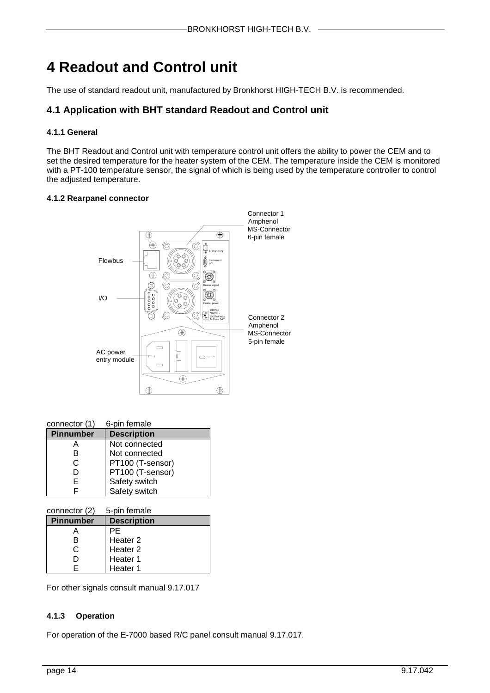## **4 Readout and Control unit**

The use of standard readout unit, manufactured by Bronkhorst HIGH-TECH B.V. is recommended.

## **4.1 Application with BHT standard Readout and Control unit**

## **4.1.1 General**

The BHT Readout and Control unit with temperature control unit offers the ability to power the CEM and to set the desired temperature for the heater system of the CEM. The temperature inside the CEM is monitored with a PT-100 temperature sensor, the signal of which is being used by the temperature controller to control the adjusted temperature.

## **4.1.2 Rearpanel connector**



| connector (1) | 6-pin female       |  |
|---------------|--------------------|--|
| Pinnumber     | <b>Description</b> |  |
| А             | Not connected      |  |
| в             | Not connected      |  |
| C             | PT100 (T-sensor)   |  |
| D             | PT100 (T-sensor)   |  |
| F             | Safety switch      |  |
| F             | Safety switch      |  |

| connector (2)    | 5-pin female        |
|------------------|---------------------|
| <b>Pinnumber</b> | <b>Description</b>  |
|                  | РF                  |
| в                | Heater 2            |
| C                | Heater <sub>2</sub> |
| ו ו              | Heater 1            |
| F                | Heater 1            |

For other signals consult manual 9.17.017

## **4.1.3 Operation**

For operation of the E-7000 based R/C panel consult manual 9.17.017.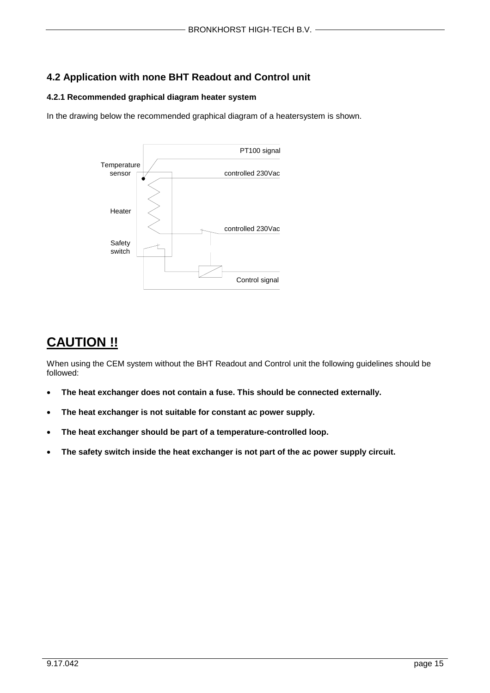## **4.2 Application with none BHT Readout and Control unit**

## **4.2.1 Recommended graphical diagram heater system**

In the drawing below the recommended graphical diagram of a heatersystem is shown.



## **CAUTION !!**

When using the CEM system without the BHT Readout and Control unit the following guidelines should be followed:

- **The heat exchanger does not contain a fuse. This should be connected externally.**
- **The heat exchanger is not suitable for constant ac power supply.**
- **The heat exchanger should be part of a temperature-controlled loop.**
- **The safety switch inside the heat exchanger is not part of the ac power supply circuit.**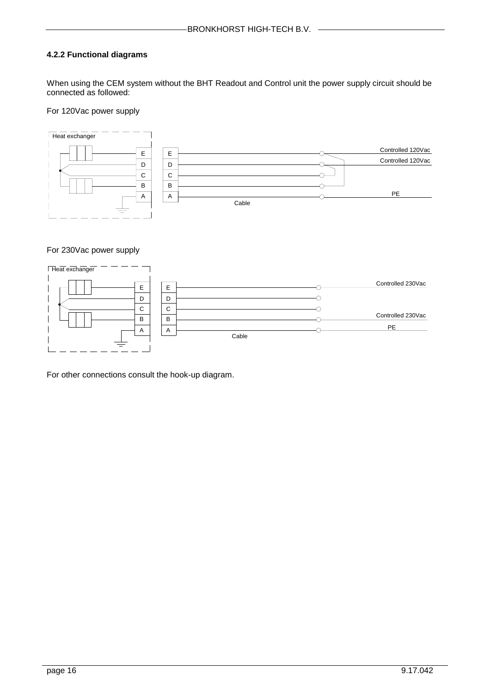### **4.2.2 Functional diagrams**

When using the CEM system without the BHT Readout and Control unit the power supply circuit should be connected as followed:

For 120Vac power supply



## For 230Vac power supply



For other connections consult the hook-up diagram.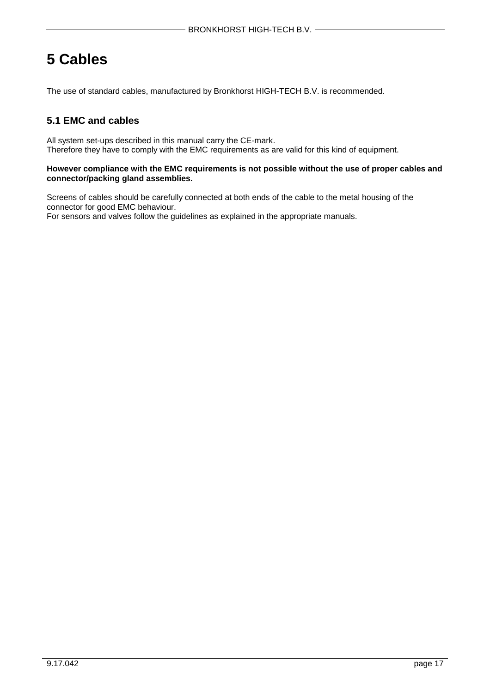## **5 Cables**

The use of standard cables, manufactured by Bronkhorst HIGH-TECH B.V. is recommended.

## **5.1 EMC and cables**

All system set-ups described in this manual carry the CE-mark. Therefore they have to comply with the EMC requirements as are valid for this kind of equipment.

### **However compliance with the EMC requirements is not possible without the use of proper cables and connector/packing gland assemblies.**

Screens of cables should be carefully connected at both ends of the cable to the metal housing of the connector for good EMC behaviour.

For sensors and valves follow the guidelines as explained in the appropriate manuals.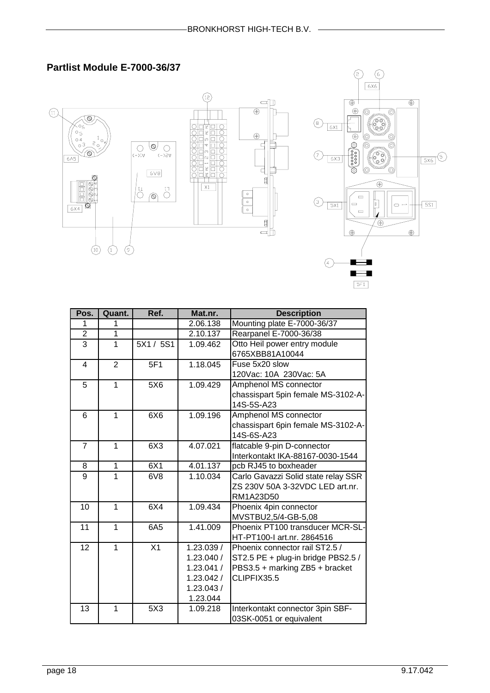## **Partlist Module E-7000-36/37**





| Pos.                    | Quant.         | Ref.             | Mat.nr.    | <b>Description</b>                  |
|-------------------------|----------------|------------------|------------|-------------------------------------|
| 1                       | 1              |                  | 2.06.138   | Mounting plate E-7000-36/37         |
| $\overline{2}$          | $\mathbf{1}$   |                  | 2.10.137   | Rearpanel E-7000-36/38              |
| $\overline{3}$          | $\mathbf{1}$   | 5X1 / 5S1        | 1.09.462   | Otto Heil power entry module        |
|                         |                |                  |            | 6765XBB81A10044                     |
| $\overline{\mathbf{4}}$ | $\overline{2}$ | 5F1              | 1.18.045   | Fuse 5x20 slow                      |
|                         |                |                  |            | 120Vac: 10A 230Vac: 5A              |
| 5                       | $\mathbf{1}$   | 5X6              | 1.09.429   | Amphenol MS connector               |
|                         |                |                  |            | chassispart 5pin female MS-3102-A-  |
|                         |                |                  |            | 14S-5S-A23                          |
| 6                       | $\mathbf{1}$   | 6X6              | 1.09.196   | Amphenol MS connector               |
|                         |                |                  |            | chassispart 6pin female MS-3102-A-  |
|                         |                |                  |            | 14S-6S-A23                          |
| $\overline{7}$          | $\mathbf{1}$   | 6X3              | 4.07.021   | flatcable 9-pin D-connector         |
|                         |                |                  |            | Interkontakt IKA-88167-0030-1544    |
| 8                       | $\mathbf{1}$   | 6X1              | 4.01.137   | pcb RJ45 to boxheader               |
| 9                       | $\mathbf 1$    | 6 <sub>V</sub> 8 | 1.10.034   | Carlo Gavazzi Solid state relay SSR |
|                         |                |                  |            | ZS 230V 50A 3-32VDC LED art.nr.     |
|                         |                |                  |            | RM1A23D50                           |
| 10                      | $\mathbf{1}$   | 6X4              | 1.09.434   | Phoenix 4pin connector              |
|                         |                |                  |            | MVSTBU2,5/4-GB-5,08                 |
| 11                      | $\mathbf{1}$   | 6A5              | 1.41.009   | Phoenix PT100 transducer MCR-SL-    |
|                         |                |                  |            | HT-PT100-I art.nr. 2864516          |
| 12                      | $\mathbf{1}$   | X <sub>1</sub>   | 1.23.039 / | Phoenix connector rail ST2.5 /      |
|                         |                |                  | 1.23.040 / | ST2.5 PE + plug-in bridge PBS2.5 /  |
|                         |                |                  | 1.23.041 / | PBS3.5 + marking ZB5 + bracket      |
|                         |                |                  | 1.23.042 / | CLIPFIX35.5                         |
|                         |                |                  | 1.23.043/  |                                     |
|                         |                |                  | 1.23.044   |                                     |
| 13                      | $\mathbf 1$    | 5X3              | 1.09.218   | Interkontakt connector 3pin SBF-    |
|                         |                |                  |            | 03SK-0051 or equivalent             |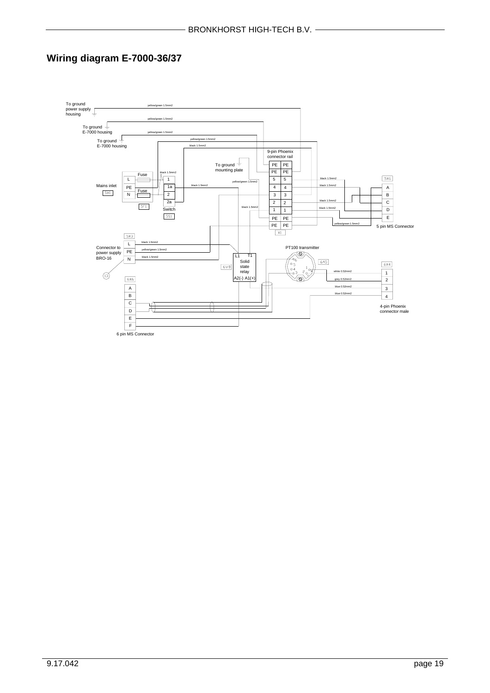## **Wiring diagram E-7000-36/37**

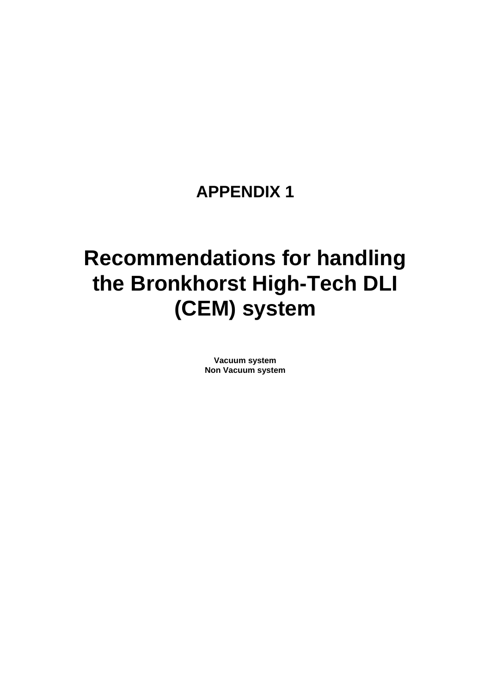## **APPENDIX 1**

# **Recommendations for handling the Bronkhorst High-Tech DLI (CEM) system**

**Vacuum system Non Vacuum system**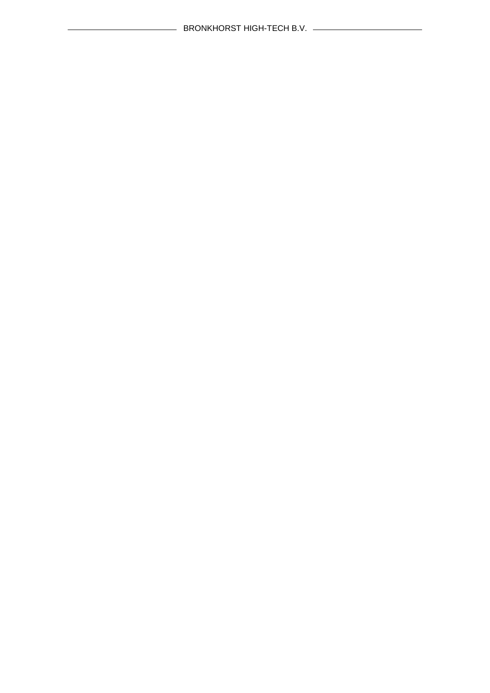BRONKHORST HIGH-TECH B.V.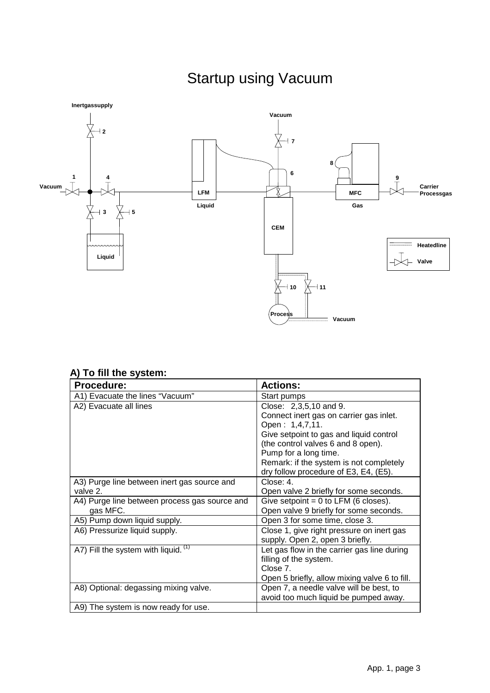

Startup using Vacuum

| <b>Procedure:</b>                             | <b>Actions:</b>                               |
|-----------------------------------------------|-----------------------------------------------|
| A1) Evacuate the lines "Vacuum"               | Start pumps                                   |
| A2) Evacuate all lines                        | Close: 2,3,5,10 and 9.                        |
|                                               | Connect inert gas on carrier gas inlet.       |
|                                               | Open: 1,4,7,11.                               |
|                                               | Give setpoint to gas and liquid control       |
|                                               | (the control valves 6 and 8 open).            |
|                                               | Pump for a long time.                         |
|                                               | Remark: if the system is not completely       |
|                                               | dry follow procedure of E3, E4, (E5).         |
| A3) Purge line between inert gas source and   | Close: 4.                                     |
| valve 2.                                      | Open valve 2 briefly for some seconds.        |
| A4) Purge line between process gas source and | Give setpoint = $0$ to LFM (6 closes).        |
| gas MFC.                                      | Open valve 9 briefly for some seconds.        |
| A5) Pump down liquid supply.                  | Open 3 for some time, close 3.                |
| A6) Pressurize liquid supply.                 | Close 1, give right pressure on inert gas     |
|                                               | supply. Open 2, open 3 briefly.               |
| A7) Fill the system with liquid. (1)          | Let gas flow in the carrier gas line during   |
|                                               | filling of the system.                        |
|                                               | Close 7.                                      |
|                                               | Open 5 briefly, allow mixing valve 6 to fill. |
| A8) Optional: degassing mixing valve.         | Open 7, a needle valve will be best, to       |
|                                               | avoid too much liquid be pumped away.         |
| A9) The system is now ready for use.          |                                               |
|                                               |                                               |

## **A) To fill the system:**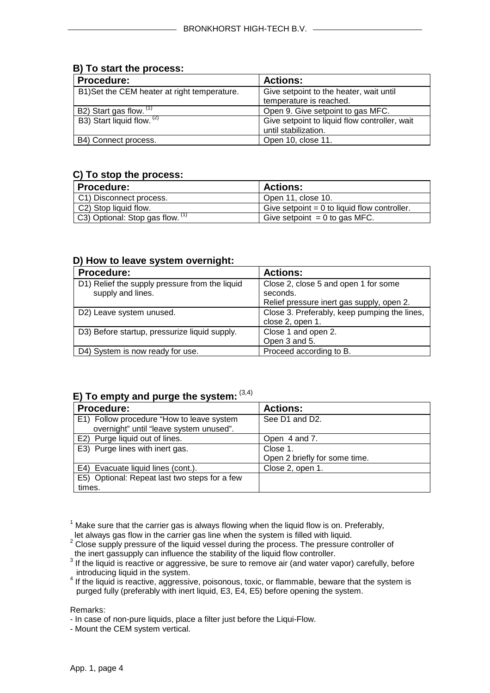## **B) To start the process:**

| <b>Procedure:</b>                            | <b>Actions:</b>                                                       |
|----------------------------------------------|-----------------------------------------------------------------------|
| B1) Set the CEM heater at right temperature. | Give setpoint to the heater, wait until<br>temperature is reached.    |
| B2) Start gas flow. (1)                      | Open 9. Give setpoint to gas MFC.                                     |
| B3) Start liquid flow. (2)                   | Give setpoint to liquid flow controller, wait<br>until stabilization. |
| B4) Connect process.                         | Open 10, close 11.                                                    |

## **C) To stop the process:**

| Procedure:                                                 | <b>Actions:</b>                                |
|------------------------------------------------------------|------------------------------------------------|
| C1) Disconnect process.                                    | Open 11, close 10.                             |
| C2) Stop liquid flow.                                      | Give setpoint $= 0$ to liquid flow controller. |
| $\vert$ C3) Optional: Stop gas flow. $\vert$ <sup>1)</sup> | Give setpoint $= 0$ to gas MFC.                |

## **D) How to leave system overnight:**

| <b>Procedure:</b>                                                   | <b>Actions:</b>                                                                               |
|---------------------------------------------------------------------|-----------------------------------------------------------------------------------------------|
| D1) Relief the supply pressure from the liquid<br>supply and lines. | Close 2, close 5 and open 1 for some<br>seconds.<br>Relief pressure inert gas supply, open 2. |
| D2) Leave system unused.                                            | Close 3. Preferably, keep pumping the lines,<br>close 2, open 1.                              |
| D3) Before startup, pressurize liquid supply.                       | Close 1 and open 2.<br>Open 3 and 5.                                                          |
| D4) System is now ready for use.                                    | Proceed according to B.                                                                       |

## **E) To empty and purge the system:** (3,4)

| <b>Procedure:</b>                                                                    | <b>Actions:</b>                           |
|--------------------------------------------------------------------------------------|-------------------------------------------|
| E1) Follow procedure "How to leave system<br>overnight" until "leave system unused". | See D1 and D2.                            |
| E2) Purge liquid out of lines.                                                       | Open 4 and 7.                             |
| E3) Purge lines with inert gas.                                                      | Close 1.<br>Open 2 briefly for some time. |
| E4) Evacuate liquid lines (cont.).                                                   | Close 2, open 1.                          |
| E5) Optional: Repeat last two steps for a few<br>times.                              |                                           |

 $1$  Make sure that the carrier gas is always flowing when the liquid flow is on. Preferably,

let always gas flow in the carrier gas line when the system is filled with liquid.

 $2$  Close supply pressure of the liquid vessel during the process. The pressure controller of the inert gassupply can influence the stability of the liquid flow controller.

 $3$  If the liquid is reactive or aggressive, be sure to remove air (and water vapor) carefully, before introducing liquid in the system.

<sup>4</sup> If the liquid is reactive, aggressive, poisonous, toxic, or flammable, beware that the system is purged fully (preferably with inert liquid, E3, E4, E5) before opening the system.

Remarks:

- In case of non-pure liquids, place a filter just before the Liqui-Flow.

- Mount the CEM system vertical.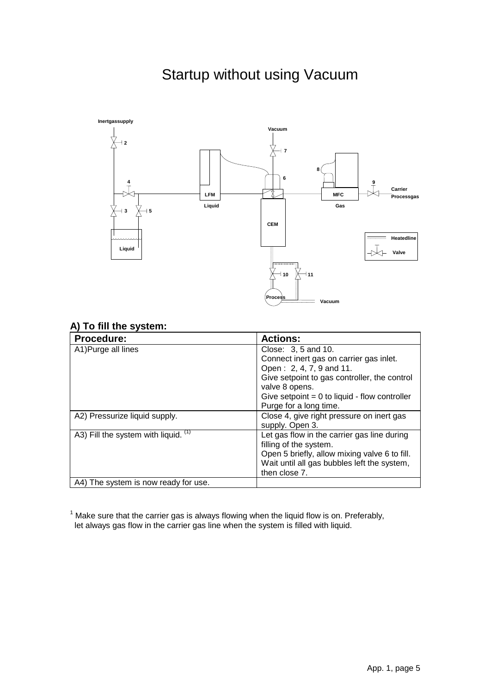



## **A) To fill the system:**

| <b>Procedure:</b>                    | <b>Actions:</b>                                                                                                                                                                                                 |
|--------------------------------------|-----------------------------------------------------------------------------------------------------------------------------------------------------------------------------------------------------------------|
| A1) Purge all lines                  | Close: 3, 5 and 10.<br>Connect inert gas on carrier gas inlet.<br>Open: 2, 4, 7, 9 and 11.<br>Give setpoint to gas controller, the control<br>valve 8 opens.<br>Give setpoint $= 0$ to liquid - flow controller |
|                                      | Purge for a long time.                                                                                                                                                                                          |
| A2) Pressurize liquid supply.        | Close 4, give right pressure on inert gas<br>supply. Open 3.                                                                                                                                                    |
| A3) Fill the system with liquid. (1) | Let gas flow in the carrier gas line during<br>filling of the system.<br>Open 5 briefly, allow mixing valve 6 to fill.<br>Wait until all gas bubbles left the system,<br>then close 7.                          |
| A4) The system is now ready for use. |                                                                                                                                                                                                                 |

 $1$  Make sure that the carrier gas is always flowing when the liquid flow is on. Preferably, let always gas flow in the carrier gas line when the system is filled with liquid.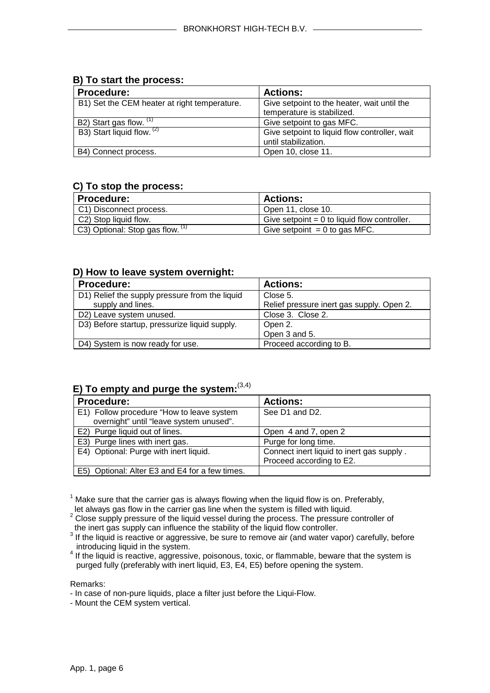## **B) To start the process:**

| <b>Procedure:</b>                            | <b>Actions:</b>                                                           |
|----------------------------------------------|---------------------------------------------------------------------------|
| B1) Set the CEM heater at right temperature. | Give setpoint to the heater, wait until the<br>temperature is stabilized. |
| B2) Start gas flow. (1)                      | Give setpoint to gas MFC.                                                 |
| B3) Start liquid flow. $(2)$                 | Give setpoint to liquid flow controller, wait<br>until stabilization.     |
| B4) Connect process.                         | Open 10, close 11.                                                        |

## **C) To stop the process:**

| Procedure:                                    | <b>Actions:</b>                                |
|-----------------------------------------------|------------------------------------------------|
| C1) Disconnect process.                       | Open 11, close 10.                             |
| C2) Stop liquid flow.                         | Give setpoint $= 0$ to liquid flow controller. |
| $\vert$ C3) Optional: Stop gas flow. $^{(1)}$ | Give setpoint $= 0$ to gas MFC.                |

## **D) How to leave system overnight:**

| <b>Procedure:</b>                              | <b>Actions:</b>                           |
|------------------------------------------------|-------------------------------------------|
| D1) Relief the supply pressure from the liquid | Close 5.                                  |
| supply and lines.                              | Relief pressure inert gas supply. Open 2. |
| D2) Leave system unused.                       | Close 3. Close 2.                         |
| D3) Before startup, pressurize liquid supply.  | Open 2.                                   |
|                                                | Open 3 and 5.                             |
| D4) System is now ready for use.               | Proceed according to B.                   |

## **E) To empty and purge the system:**(3,4)

| Procedure:                                     | <b>Actions:</b>                           |
|------------------------------------------------|-------------------------------------------|
| E1) Follow procedure "How to leave system      | See D1 and D2.                            |
| overnight" until "leave system unused".        |                                           |
| E2) Purge liquid out of lines.                 | Open 4 and 7, open 2                      |
| E3) Purge lines with inert gas.                | Purge for long time.                      |
| E4) Optional: Purge with inert liquid.         | Connect inert liquid to inert gas supply. |
|                                                | Proceed according to E2.                  |
| E5) Optional: Alter E3 and E4 for a few times. |                                           |

 $1$  Make sure that the carrier gas is always flowing when the liquid flow is on. Preferably,

let always gas flow in the carrier gas line when the system is filled with liquid.

 $2$  Close supply pressure of the liquid vessel during the process. The pressure controller of

the inert gas supply can influence the stability of the liquid flow controller.

 $3$  If the liquid is reactive or aggressive, be sure to remove air (and water vapor) carefully, before introducing liquid in the system.

<sup>4</sup> If the liquid is reactive, aggressive, poisonous, toxic, or flammable, beware that the system is purged fully (preferably with inert liquid, E3, E4, E5) before opening the system.

Remarks:

- In case of non-pure liquids, place a filter just before the Liqui-Flow.

- Mount the CEM system vertical.